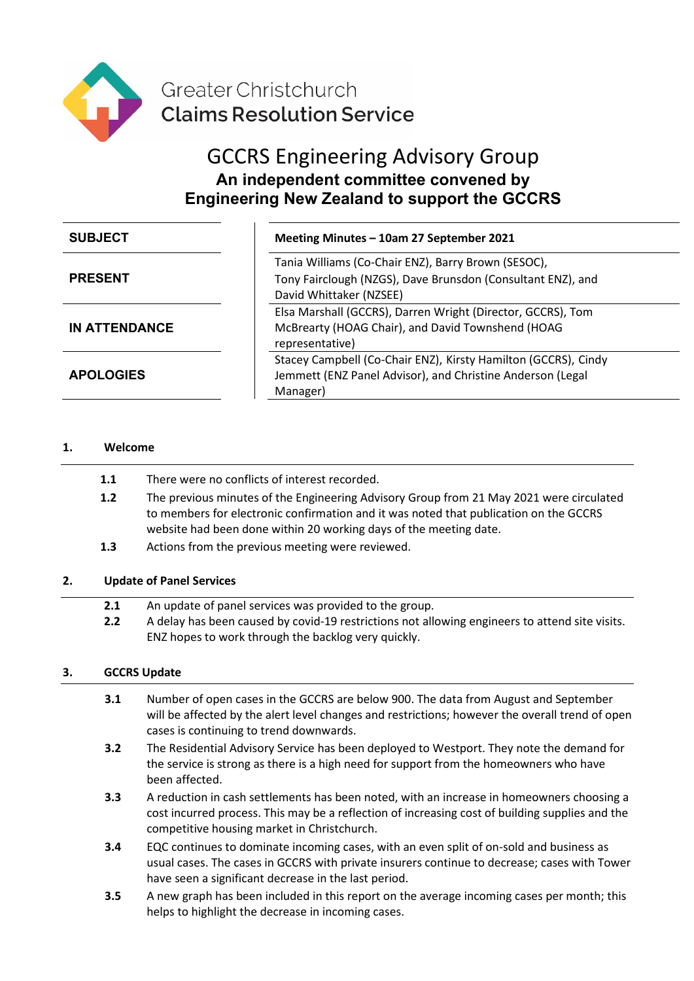

Greater Christchurch **Claims Resolution Service** 

# GCCRS Engineering Advisory Group **An independent committee convened by Engineering New Zealand to support the GCCRS**

| <b>SUBJECT</b>       | Meeting Minutes - 10am 27 September 2021                                                                                                      |
|----------------------|-----------------------------------------------------------------------------------------------------------------------------------------------|
| <b>PRESENT</b>       | Tania Williams (Co-Chair ENZ), Barry Brown (SESOC),<br>Tony Fairclough (NZGS), Dave Brunsdon (Consultant ENZ), and<br>David Whittaker (NZSEE) |
| <b>IN ATTENDANCE</b> | Elsa Marshall (GCCRS), Darren Wright (Director, GCCRS), Tom<br>McBrearty (HOAG Chair), and David Townshend (HOAG<br>representative)           |
| <b>APOLOGIES</b>     | Stacey Campbell (Co-Chair ENZ), Kirsty Hamilton (GCCRS), Cindy<br>Jemmett (ENZ Panel Advisor), and Christine Anderson (Legal<br>Manager)      |

### **1. Welcome**

- **1.1** There were no conflicts of interest recorded.
- **1.2** The previous minutes of the Engineering Advisory Group from 21 May 2021 were circulated to members for electronic confirmation and it was noted that publication on the GCCRS website had been done within 20 working days of the meeting date.
- **1.3** Actions from the previous meeting were reviewed.

ENZ hopes to work through the backlog very quickly.

## **2. Update of Panel Services**

**2.1** An update of panel services was provided to the group. **2.2** A delay has been caused by covid-19 restrictions not allowing engineers to attend site visits.

### **3. GCCRS Update**

- **3.1** Number of open cases in the GCCRS are below 900. The data from August and September will be affected by the alert level changes and restrictions; however the overall trend of open cases is continuing to trend downwards.
- **3.2** The Residential Advisory Service has been deployed to Westport. They note the demand for the service is strong as there is a high need for support from the homeowners who have been affected.
- **3.3** A reduction in cash settlements has been noted, with an increase in homeowners choosing a cost incurred process. This may be a reflection of increasing cost of building supplies and the competitive housing market in Christchurch.
- **3.4** EQC continues to dominate incoming cases, with an even split of on-sold and business as usual cases. The cases in GCCRS with private insurers continue to decrease; cases with Tower have seen a significant decrease in the last period.
- **3.5** A new graph has been included in this report on the average incoming cases per month; this helps to highlight the decrease in incoming cases.